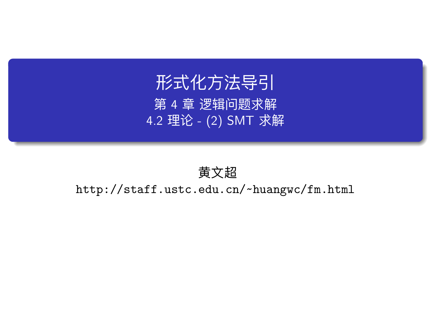# 形式化方法导引 第 4 章 逻辑问题求解 4.2 理论 - (2) SMT 求解

## 黄文超

http://staff.ustc.edu.cn/~huangwc/fm.html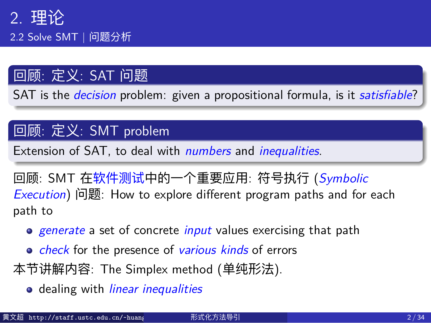# 回顾: 定义: SAT 问题

SAT is the *decision* problem: given a propositional formula, is it *satisfiable*?

### 回顾: 定义: SMT problem

Extension of SAT, to deal with *numbers* and *inequalities*.

回顾: SMT 在软件测试中的一个重要应用: 符号执行 (*Symbolic Execution*) 问题: How to explore different program paths and for each path to

- *generate* a set of concrete *input* values exercising that path
- *check* for the presence of *various kinds* of errors
- 本节讲解内容: The Simplex method (单纯形法).
	- dealing with *linear inequalities*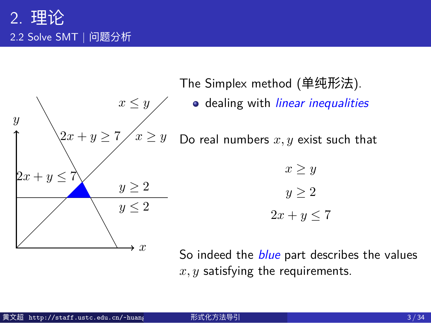

The Simplex method (单纯形法).

dealing with *linear inequalities*

Do real numbers *x, y* exist such that

$$
x \ge y
$$

$$
y \ge 2
$$

$$
2x + y \le 7
$$

So indeed the *blue* part describes the values *x, y* satisfying the requirements.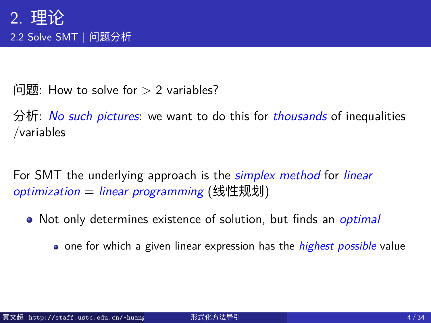$\Box$  How to solve for  $> 2$  variables?

分析: *No such pictures*: we want to do this for *thousands* of inequalities /variables

For SMT the underlying approach is the *simplex method* for *linear optimization* = *linear programming* (线性规划)

- Not only determines existence of solution, but finds an *optimal*
	- o one for which a given linear expression has the *highest possible* value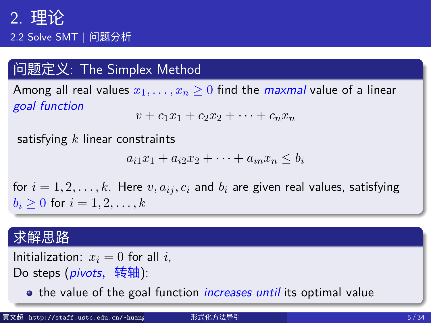2.2 Solve SMT | 问题分析

# 问题定义: The Simplex Method

Among all real values  $x_1, \ldots, x_n \geq 0$  find the *maxmal* value of a linear *goal function*  $v + c_1x_1 + c_2x_2 + \cdots + c_nx_n$ 

#### satisfying *k* linear constraints

 $a_{i1}x_1 + a_{i2}x_2 + \cdots + a_{in}x_n \leq b_i$ 

for  $i = 1, 2, \ldots, k$ . Here  $v, a_{ij}, c_i$  and  $b_i$  are given real values, satisfying *b*<sup>*i*</sup> ≥ 0 for *i* = 1*,* 2*, . . . , k* 

## 求解思路

Initialization:  $x_i = 0$  for all *i*, Do steps (*pivots*, 转轴):

**•** the value of the goal function *increases until* its optimal value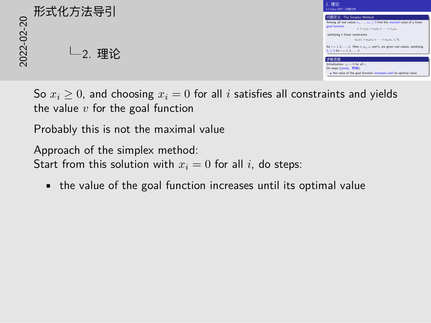

So  $x_i \geq 0$ , and choosing  $x_i = 0$  for all *i* satisfies all constraints and yields the value *v* for the goal function

Probably this is not the maximal value

Approach of the simplex method: Start from this solution with  $x_i = 0$  for all  $i$ , do steps:

• the value of the goal function increases until its optimal value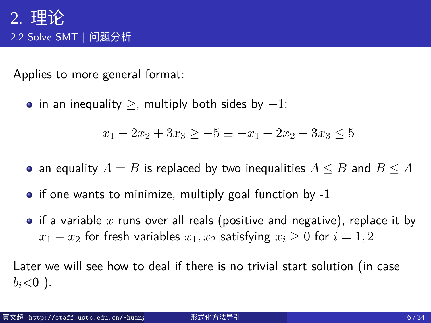Applies to more general format:

in an inequality *≥*, multiply both sides by *−*1:

*x*<sub>1</sub> − 2*x*<sub>2</sub> + 3*x*<sub>3</sub>  $\geq$  −5  $\equiv$  −*x*<sub>1</sub> + 2*x*<sub>2</sub> − 3*x*<sub>3</sub>  $\leq$  5

- an equality  $A = B$  is replaced by two inequalities  $A \leq B$  and  $B \leq A$
- if one wants to minimize, multiply goal function by -1
- if a variable x runs over all reals (positive and negative), replace it by *x*<sub>1</sub> − *x*<sub>2</sub> for fresh variables *x*<sub>1</sub>*, x*<sub>2</sub> satisfying *x*<sub>*i*</sub> ≥ 0 for *i* = 1*,* 2

Later we will see how to deal if there is no trivial start solution (in case  $b_i$ <0).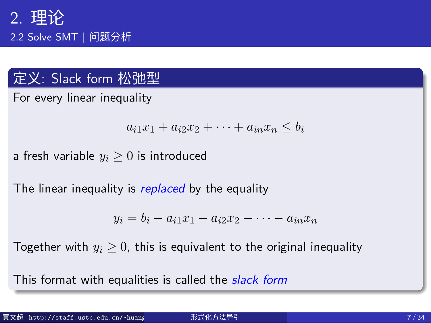## 定义: Slack form 松弛型

For every linear inequality

 $a_{i1}x_1 + a_{i2}x_2 + \cdots + a_{in}x_n \leq b_i$ 

a fresh variable *y<sup>i</sup> ≥* 0 is introduced

The linear inequality is *replaced* by the equality

 $y_i = b_i - a_{i1}x_1 - a_{i2}x_2 - \cdots - a_{in}x_n$ 

Together with  $y_i \geq 0$ , this is equivalent to the original inequality

This format with equalities is called the *slack form*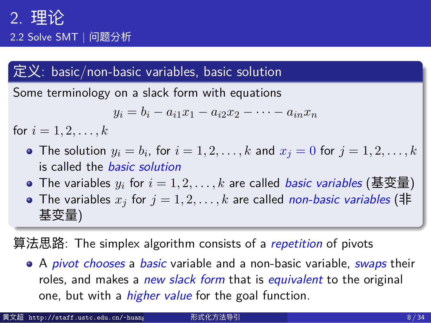2.2 Solve SMT | 问题分析

#### 定义: basic/non-basic variables, basic solution

Some terminology on a slack form with equations

$$
y_i = b_i - a_{i1}x_1 - a_{i2}x_2 - \dots - a_{in}x_n
$$

for  $i = 1, 2, ..., k$ 

- The solution  $y_i = b_i$ , for  $i = 1, 2, \ldots, k$  and  $x_j = 0$  for  $j = 1, 2, \ldots, k$ is called the *basic solution*
- The variables  $y_i$  for  $i = 1, 2, \ldots, k$  are called *basic variables* (基变量)
- The variables  $x_j$  for  $j = 1, 2, ..., k$  are called *non-basic variables* (# 基变量)

算法思路: The simplex algorithm consists of a *repetition* of pivots

A *pivot chooses* a *basic* variable and a non-basic variable, *swaps* their roles, and makes a *new slack form* that is *equivalent* to the original one, but with a *higher value* for the goal function.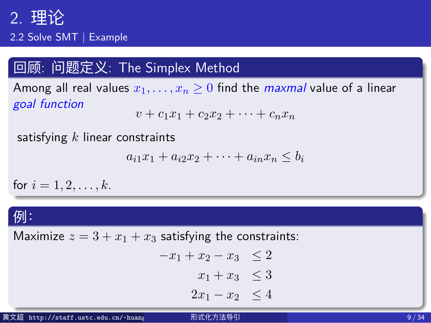2.2 Solve SMT | Example

## 回顾: 问题定义: The Simplex Method

Among all real values  $x_1, \ldots, x_n \geq 0$  find the *maxmal* value of a linear *goal function*

 $v + c_1x_1 + c_2x_2 + \cdots + c_nx_n$ 

#### satisfying *k* linear constraints

 $a_{i1}x_1 + a_{i2}x_2 + \cdots + a_{in}x_n \leq b_i$ 

#### for  $i = 1, 2, ..., k$ .

#### 例:

| 19                                  |                                                          |      |
|-------------------------------------|----------------------------------------------------------|------|
|                                     | Maximize $z = 3 + x_1 + x_3$ satisfying the constraints: |      |
|                                     | $-x_1+x_2-x_3 \leq 2$                                    |      |
|                                     | $x_1 + x_3 \leq 3$                                       |      |
|                                     | $2x_1 - x_2 \leq 4$                                      |      |
| 黄文超 http://staff.ustc.edu.cn/~huang | 形式化方法导引                                                  | 9/34 |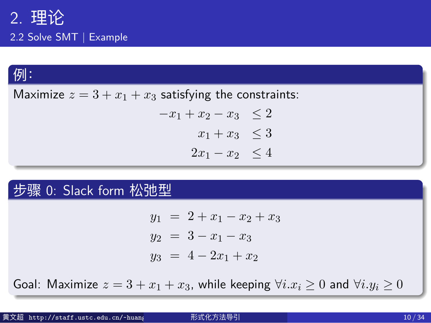2.2 Solve SMT | Example

# 例:

Maximize  $z = 3 + x_1 + x_3$  satisfying the constraints:  $-x_1 + x_2 - x_3 \leq 2$  $x_1 + x_3 \leq 3$  $2x_1 - x_2 \leq 4$ 

# 步骤 0: Slack form 松弛型

 $y_1 = 2 + x_1 - x_2 + x_3$  $y_2 = 3 - x_1 - x_3$  $y_3 = 4 - 2x_1 + x_2$ 

Goal: Maximize  $z = 3 + x_1 + x_3$ , while keeping  $\forall i.x_i \geq 0$  and  $\forall i.y_i \geq 0$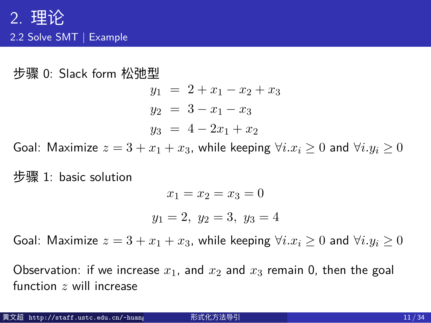步骤 0: Slack form 松弛型

 $y_1 = 2 + x_1 - x_2 + x_3$  $y_2 = 3 - x_1 - x_3$  $y_3 = 4 - 2x_1 + x_2$ 

Goal: Maximize  $z = 3 + x_1 + x_3$ , while keeping  $\forall i.x_i \geq 0$  and  $\forall i.y_i \geq 0$ 

步骤 1: basic solution

$$
x_1 = x_2 = x_3 = 0
$$

$$
y_1 = 2, \ y_2 = 3, \ y_3 = 4
$$

Goal: Maximize  $z = 3 + x_1 + x_3$ , while keeping  $\forall i.x_i \geq 0$  and  $\forall i.y_i \geq 0$ 

Observation: if we increase  $x_1$ , and  $x_2$  and  $x_3$  remain 0, then the goal function *z* will increase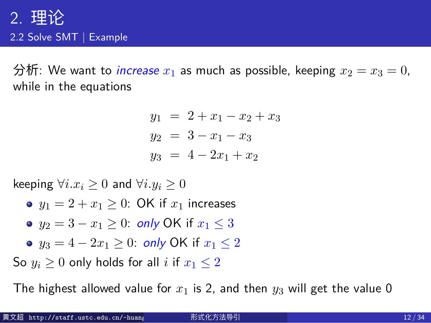分析: We want to *increase*  $x_1$  as much as possible, keeping  $x_2 = x_3 = 0$ , while in the equations

$$
y_1 = 2 + x_1 - x_2 + x_3
$$
  
\n
$$
y_2 = 3 - x_1 - x_3
$$
  
\n
$$
y_3 = 4 - 2x_1 + x_2
$$

keeping *∀i.x<sup>i</sup> ≥* 0 and *∀i.y<sup>i</sup> ≥* 0

- $y_1 = 2 + x_1 \geq 0$ : OK if  $x_1$  increases
- *y*<sup>2</sup> = 3 *− x*<sup>1</sup> *≥* 0: *only* OK if *x*<sup>1</sup> *≤* 3
- *y*<sup>3</sup> = 4 *−* 2*x*<sup>1</sup> *≥* 0: *only* OK if *x*<sup>1</sup> *≤* 2
- So  $y_i \geq 0$  only holds for all *i* if  $x_1 \leq 2$

The highest allowed value for  $x_1$  is 2, and then  $y_3$  will get the value 0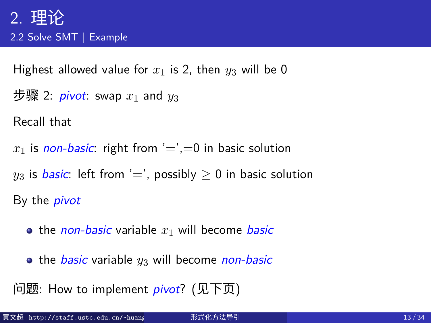Highest allowed value for  $x_1$  is 2, then  $y_3$  will be 0

步骤 2: *pivot*: swap *x*<sup>1</sup> and *y*<sup>3</sup>

Recall that

- $x_1$  is *non-basic*: right from  $i = 0$ , in basic solution
- $y_3$  is **basic**: left from '=', possibly  $\geq 0$  in basic solution

By the *pivot*

- $\bullet$  the *non-basic* variable  $x_1$  will become *basic*
- the *basic* variable *y*<sup>3</sup> will become *non-basic*
- 问题: How to implement *pivot*? (见下页)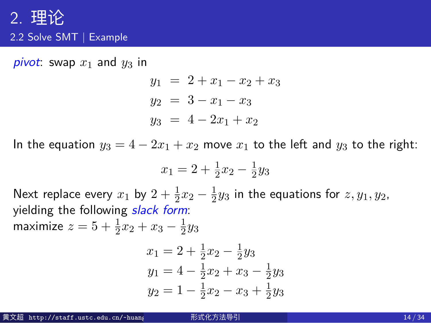*pivot*: swap  $x_1$  and  $y_3$  in

$$
y_1 = 2 + x_1 - x_2 + x_3
$$
  
\n
$$
y_2 = 3 - x_1 - x_3
$$
  
\n
$$
y_3 = 4 - 2x_1 + x_2
$$

In the equation  $y_3 = 4 - 2x_1 + x_2$  move  $x_1$  to the left and  $y_3$  to the right:

$$
x_1 = 2 + \frac{1}{2}x_2 - \frac{1}{2}y_3
$$

Next replace every  $x_1$  by  $2 + \frac{1}{2}x_2 - \frac{1}{2}$  $\frac{1}{2}y_3$  in the equations for  $z, y_1, y_2$ , yielding the following *slack form*:

maximize 
$$
z = 5 + \frac{1}{2}x_2 + x_3 - \frac{1}{2}y_3
$$

$$
x_1 = 2 + \frac{1}{2}x_2 - \frac{1}{2}y_3
$$
  
\n
$$
y_1 = 4 - \frac{1}{2}x_2 + x_3 - \frac{1}{2}y_3
$$
  
\n
$$
y_2 = 1 - \frac{1}{2}x_2 - x_3 + \frac{1}{2}y_3
$$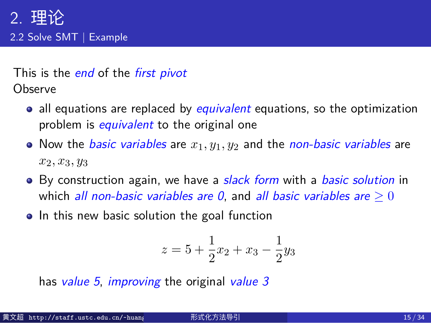This is the *end* of the *first pivot* **Observe** 

- all equations are replaced by *equivalent* equations, so the optimization problem is *equivalent* to the original one
- Now the *basic variables* are *x*1*, y*1*, y*<sup>2</sup> and the *non-basic variables* are *x*2*, x*3*, y*<sup>3</sup>
- By construction again, we have a *slack form* with a *basic solution* in which *all non-basic variables are 0*, and *all basic variables are*  $\geq 0$
- In this new basic solution the goal function

$$
z = 5 + \frac{1}{2}x_2 + x_3 - \frac{1}{2}y_3
$$

has *value 5*, *improving* the original *value 3*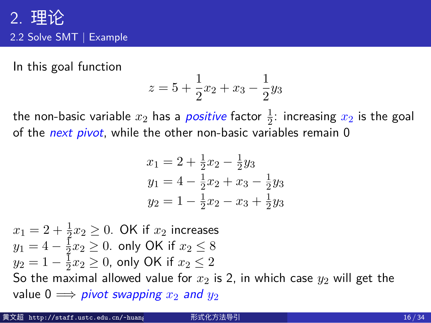In this goal function

$$
z = 5 + \frac{1}{2}x_2 + x_3 - \frac{1}{2}y_3
$$

the non-basic variable  $x_2$  has a *positive* factor  $\frac{1}{2}$ : increasing  $x_2$  is the goal of the *next pivot*, while the other non-basic variables remain 0

$$
x_1 = 2 + \frac{1}{2}x_2 - \frac{1}{2}y_3
$$
  
\n
$$
y_1 = 4 - \frac{1}{2}x_2 + x_3 - \frac{1}{2}y_3
$$
  
\n
$$
y_2 = 1 - \frac{1}{2}x_2 - x_3 + \frac{1}{2}y_3
$$

 $x_1 = 2 + \frac{1}{2}x_2 \geq 0$ . OK if  $x_2$  increases  $y_1 = 4 - \frac{1}{2}$  $\frac{1}{2}x_2 \geq 0$ . only OK if  $x_2 \leq 8$  $y_2 = 1 - \frac{1}{2}$  $\frac{1}{2}x_2 \geq 0$ , only OK if  $x_2 \leq 2$ So the maximal allowed value for  $x_2$  is 2, in which case  $y_2$  will get the value  $0 \implies$  *pivot swapping*  $x_2$  *and*  $y_2$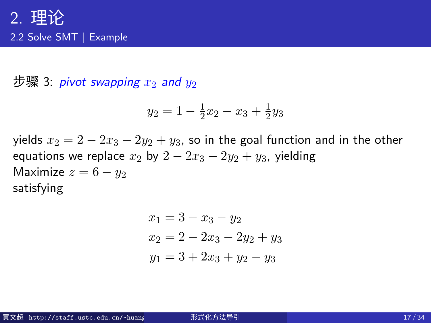步骤 3: *pivot swapping*  $x_2$  *and*  $y_2$ 

$$
y_2 = 1 - \frac{1}{2}x_2 - x_3 + \frac{1}{2}y_3
$$

yields *x*<sup>2</sup> = 2 *−* 2*x*<sup>3</sup> *−* 2*y*<sup>2</sup> + *y*3, so in the goal function and in the other equations we replace  $x_2$  by  $2 - 2x_3 - 2y_2 + y_3$ , yielding Maximize  $z = 6 - y_2$ satisfying

$$
x_1 = 3 - x_3 - y_2
$$
  
\n
$$
x_2 = 2 - 2x_3 - 2y_2 + y_3
$$
  
\n
$$
y_1 = 3 + 2x_3 + y_2 - y_3
$$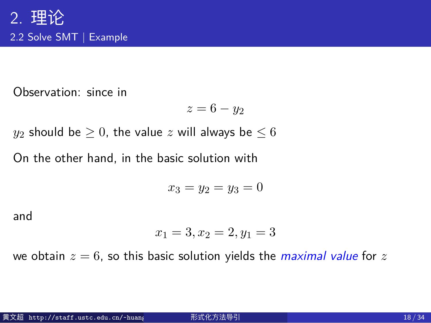Observation: since in

$$
z=6-y_2
$$

 $y_2$  should be  $\geq 0$ , the value  $z$  will always be  $\leq 6$ 

On the other hand, in the basic solution with

$$
x_3 = y_2 = y_3 = 0
$$

and

$$
x_1 = 3, x_2 = 2, y_1 = 3
$$

we obtain  $z = 6$ , so this basic solution yields the *maximal value* for  $z$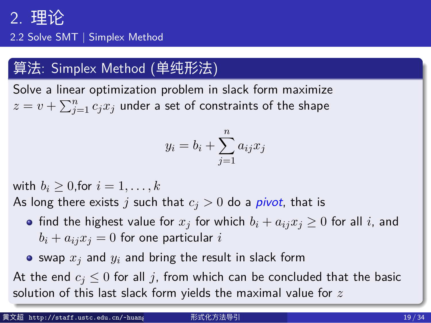2.2 Solve SMT | Simplex Method

## 算法: Simplex Method (单纯形法)

Solve a linear optimization problem in slack form maximize  $z = v + \sum_{j=1}^n c_j x_j$  under a set of constraints of the shape

$$
y_i = b_i + \sum_{j=1}^n a_{ij} x_j
$$

with  $b_i \geq 0$ , for  $i = 1, \ldots, k$ 

- As long there exists  $j$  such that  $c_j > 0$  do a *pivot*, that is
	- find the highest value for  $x_j$  for which  $b_i + a_{ij}x_j \ge 0$  for all *i*, and  $b_i + a_{ij}x_j = 0$  for one particular *i*
	- $\bullet$  swap  $x_j$  and  $y_i$  and bring the result in slack form

At the end  $c_j \leq 0$  for all *j*, from which can be concluded that the basic solution of this last slack form yields the maximal value for *z*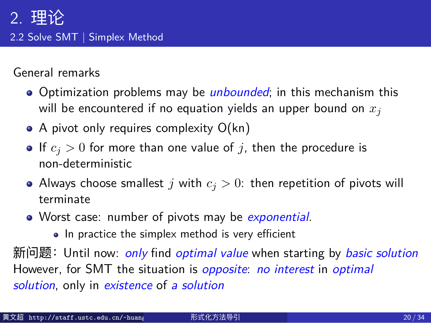## 2. 理论 2.2 Solve SMT | Simplex Method

General remarks

- Optimization problems may be *unbounded*; in this mechanism this will be encountered if no equation yields an upper bound on *x<sup>j</sup>*
- A pivot only requires complexity O(kn)
- If  $c_j > 0$  for more than one value of *j*, then the procedure is non-deterministic
- Always choose smallest  $j$  with  $c_j > 0$ : then repetition of pivots will terminate
- Worst case: number of pivots may be *exponential*.
	- In practice the simplex method is very efficient

新问题:Until now: *only* find *optimal value* when starting by *basic solution* However, for SMT the situation is *opposite*: *no interest* in *optimal solution*, only in *existence* of *a solution*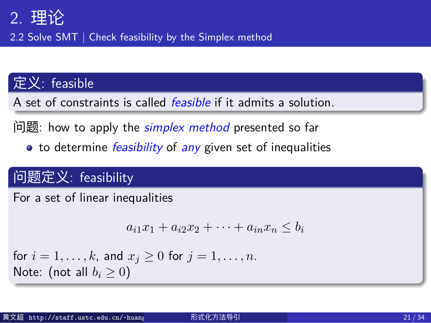2.2 Solve SMT | Check feasibility by the Simplex method

## 定义: feasible

A set of constraints is called *feasible* if it admits a solution.

问题: how to apply the *simplex method* presented so far

to determine *feasibility* of *any* given set of inequalities

## 问题定义: feasibility

For a set of linear inequalities

 $a_{i1}x_1 + a_{i2}x_2 + \cdots + a_{in}x_n \leq b_i$ 

for  $i = 1, ..., k$ , and  $x_j \ge 0$  for  $j = 1, ..., n$ . Note: (not all  $b_i \geq 0$ )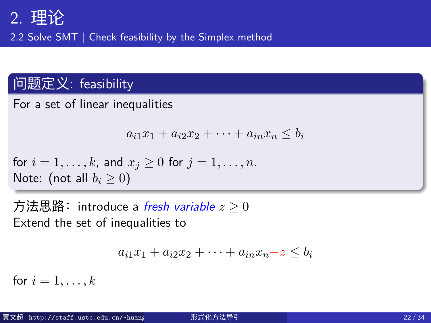2.2 Solve SMT | Check feasibility by the Simplex method

## 问题定义: feasibility

For a set of linear inequalities

$$
a_{i1}x_1 + a_{i2}x_2 + \cdots + a_{in}x_n \le b_i
$$

for  $i = 1, ..., k$ , and  $x_j \ge 0$  for  $j = 1, ..., n$ . Note: (not all  $b_i \geq 0$ )

方法思路: introduce a *fresh variable*  $z \geq 0$ Extend the set of inequalities to

 $a_{i1}x_1 + a_{i2}x_2 + \cdots + a_{in}x_n - z \leq b_i$ 

for  $i = 1, ..., k$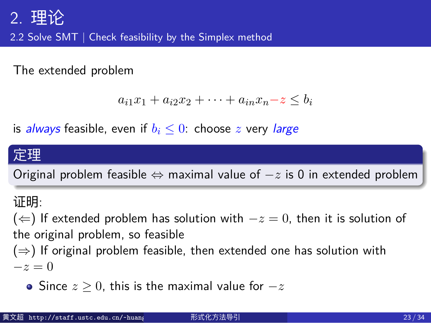2.2 Solve SMT | Check feasibility by the Simplex method

The extended problem

 $a_{i1}x_1 + a_{i2}x_2 + \cdots + a_{in}x_n - z \leq b_i$ 

is *always* feasible, even if *b<sup>i</sup> ≤* 0: choose *z* very *large*

#### 定理

Original problem feasible *⇔* maximal value of *−z* is 0 in extended problem

#### 证明:

(*⇐*) If extended problem has solution with *−z* = 0, then it is solution of the original problem, so feasible

(*⇒*) If original problem feasible, then extended one has solution with *−z* = 0

Since *z ≥* 0, this is the maximal value for *−z*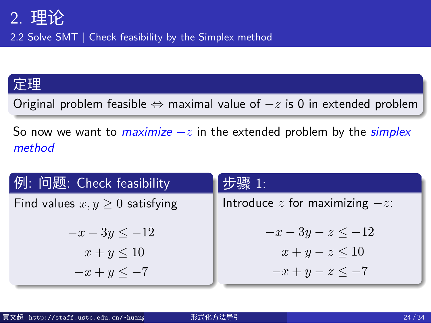2.2 Solve SMT | Check feasibility by the Simplex method

## 定理

Original problem feasible *⇔* maximal value of *−z* is 0 in extended problem

So now we want to *maximize −z* in the extended problem by the *simplex method*

| 例: 问题: Check feasibility             | 步骤 1:                               |
|--------------------------------------|-------------------------------------|
| Find values $x, y \geq 0$ satisfying | Introduce $z$ for maximizing $-z$ : |
| $-x-3y \le -12$                      | $-x-3y-z \le -12$                   |
| $x+y\leq 10$                         | $x+y-z \leq 10$                     |
| $-x+y\leq -7$                        | $-x + y - z \leq -7$                |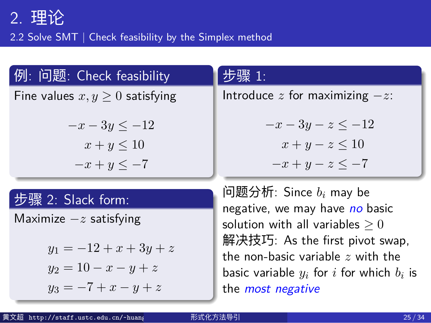2.2 Solve SMT | Check feasibility by the Simplex method

| 例: 问题: Check feasibility                         | 步骤 1:                                                                 |  |
|--------------------------------------------------|-----------------------------------------------------------------------|--|
| Fine values $x, y \geq 0$ satisfying             | Introduce $z$ for maximizing $-z$ :                                   |  |
| $-x-3y \le -12$<br>$x+y\leq 10$<br>$-x+y\leq -7$ | $-x-3y-z \le -12$<br>$x+y-z \leq 10$<br>$-x + y - z \leq -7$          |  |
| 步骤 2: Slack form:                                | 问题分析: Since $b_i$ may be<br>negative, we may have no basic            |  |
| Maximize $-z$ satisfying                         | solution with all variables $>0$                                      |  |
| $y_1 = -12 + x + 3y + z$                         | 解决技巧: As the first pivot swap,<br>the non-basic variable $z$ with the |  |

*y*<sup>2</sup> = 10 *− x − y* + *z y*<sub>3</sub> = −7 + *x* − *y* + *z* the non-basic variable *z* with the basic variable  $y_i$  for  $i$  for which  $b_i$  is the *most negative*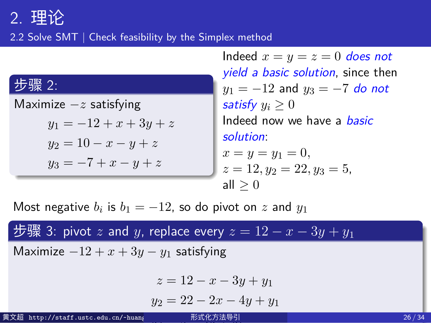2.2 Solve SMT | Check feasibility by the Simplex method

| 步骤 2:                    |
|--------------------------|
| Maximize $-z$ satisfying |
| $y_1 = -12 + x + 3y + z$ |
| $y_2 = 10 - x - y + z$   |
| $y_3 = -7 + x - y + z$   |

Indeed  $x = y = z = 0$  *does not yield a basic solution*, since then *y*<sub>1</sub> = −12 and *y*<sub>3</sub> = −7 *do not satisfy*  $y_i \geq 0$ Indeed now we have a *basic solution*:  $x = y = y_1 = 0,$  $z = 12, y_2 = 22, y_3 = 5,$ all *≥* 0

Most negative  $b_i$  is  $b_1 = -12$ , so do pivot on  $z$  and  $y_1$ 

步骤 3: pivot *z* and *y*, replace every  $z = 12 - x - 3y + y_1$ Maximize *−*12 + *x* + 3*y − y*<sup>1</sup> satisfying *z* = 12 *− x −* 3*y* + *y*<sup>1</sup> *y*<sup>2</sup> = 22 *−* 2*x −* 4*y* + *y*<sup>1</sup> *y*<sup>3</sup> = 5 *−* 4*y* + *y*<sup>1</sup> 黄文超 http://staff.ustc.edu.cn/~huang 形式化方法导引 26 / 34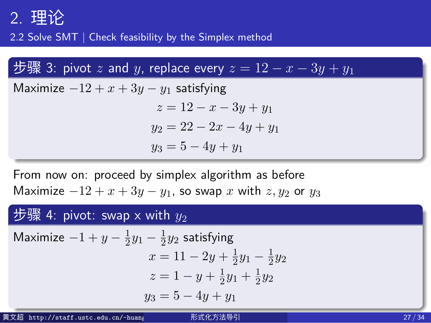2.2 Solve SMT | Check feasibility by the Simplex method

#### 步骤 3: pivot *z* and *y*, replace every  $z = 12 - x - 3y + y_1$

Maximize *−*12 + *x* + 3*y − y*<sup>1</sup> satisfying *z* = 12 *− x −* 3*y* + *y*<sup>1</sup>  $y_2 = 22 - 2x - 4y + y_1$  $y_3 = 5 - 4y + y_1$ 

From now on: proceed by simplex algorithm as before Maximize  $-12 + x + 3y - y_1$ , so swap *x* with *z*, *y*<sub>2</sub> or *y*<sub>3</sub>

#### 步骤 4: pivot: swap x with  $y_2$ Maximize  $-1 + y - \frac{1}{2}$  $\frac{1}{2}y_1 - \frac{1}{2}$  $\frac{1}{2}y_2$  satisfying  $x = 11 - 2y + \frac{1}{2}$  $\frac{1}{2}y_1 - \frac{1}{2}$  $rac{1}{2}y_2$  $z = 1 - y + \frac{1}{2}$  $\frac{1}{2}y_1 + \frac{1}{2}$  $rac{1}{2}y_2$ *y*<sup>3</sup> = 5 *−* 4*y* + *y*<sup>1</sup> 黄文超 http://staff.ustc.edu.cn/~huangwc/fm.html 形式化方法导引 27 / 34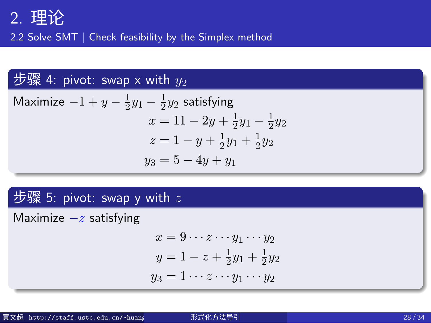2.2 Solve SMT | Check feasibility by the Simplex method

# 步骤 4: pivot: swap x with  $y_2$

Maximize  $-1 + y - \frac{1}{2}$  $\frac{1}{2}y_1 - \frac{1}{2}$  $\frac{1}{2}y_2$  satisfying  $x = 11 - 2y + \frac{1}{2}$  $\frac{1}{2}y_1 - \frac{1}{2}$  $rac{1}{2}y_2$  $z = 1 - y + \frac{1}{2}$  $\frac{1}{2}y_1 + \frac{1}{2}$  $rac{1}{2}y_2$ *y*<sup>3</sup> = 5 *−* 4*y* + *y*<sup>1</sup>

# 步骤 5: pivot: swap y with *z* Maximize *−z* satisfying

 $x = 9 \cdots z \cdots y_1 \cdots y_2$  $y = 1 - z + \frac{1}{2}$  $\frac{1}{2}y_1 + \frac{1}{2}$  $rac{1}{2}y_2$  $y_3 = 1 \cdots z \cdots y_1 \cdots y_2$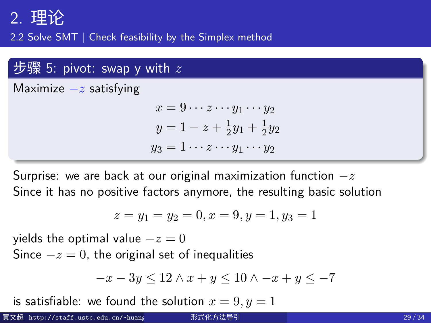2.2 Solve SMT | Check feasibility by the Simplex method

## 步骤 5: pivot: swap y with *z*

Maximize *−z* satisfying

$$
x = 9 \cdots z \cdots y_1 \cdots y_2
$$
  
\n
$$
y = 1 - z + \frac{1}{2}y_1 + \frac{1}{2}y_2
$$
  
\n
$$
y_3 = 1 \cdots z \cdots y_1 \cdots y_2
$$

Surprise: we are back at our original maximization function *−z* Since it has no positive factors anymore, the resulting basic solution

$$
z = y_1 = y_2 = 0, x = 9, y = 1, y_3 = 1
$$

yields the optimal value *−z* = 0

Since *−z* = 0, the original set of inequalities

$$
-x - 3y \le 12 \land x + y \le 10 \land -x + y \le -7
$$

is satisfiable: we found the solution  $x = 9, y = 1$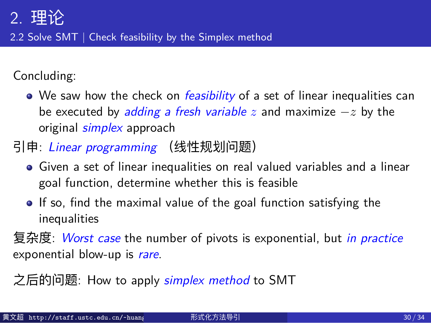2.2 Solve SMT | Check feasibility by the Simplex method

Concluding:

We saw how the check on *feasibility* of a set of linear inequalities can be executed by *adding a fresh variable z* and maximize *−z* by the original *simplex* approach

引申: *Linear programming* (线性规划问题)

- Given a set of linear inequalities on real valued variables and a linear goal function, determine whether this is feasible
- If so, find the maximal value of the goal function satisfying the inequalities

复杂度: *Worst case* the number of pivots is exponential, but *in practice* exponential blow-up is *rare*.

之后的问题: How to apply *simplex method* to SMT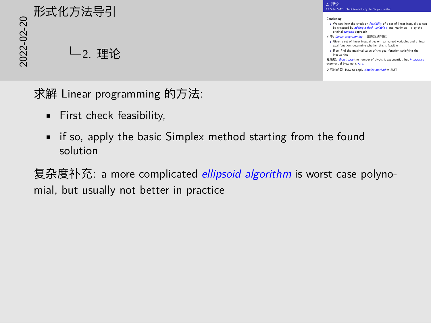20<br>2022<br>2022<br>2022<br>2022<br>2022<br>2022<br>2022 2. 理论

求解 Linear programming 的方法:

- First check feasibility,
- if so, apply the basic Simplex method starting from the found solution

复杂度补充: a more complicated *ellipsoid algorithm* is worst case polynomial, but usually not better in practice

2. 理论

inequalities<br>夏杂度: Worst case the numi<br>exponential blow-up is *ra*re. tas<br><mark>st case</mark> the number of pivots is e<br>dow-up is <u>race</u>.

.<br>之后的问题

 $2.3 \pm 2$  Solve SMT | Check feasibility by the Simplex method Concluding: We saw how the check on *feasibility* of a set of linear inequalities can buting:<br>We saw how the check on *feasibility* of a set of linear inequalities car<br>be executed by adding a fresh variable *z* and maximize −*z* by the<br>original simplex approach 引申: *Linear programming* (线性规划问题) Given a supermoning inequalities on real valued variables and a linear Given a set of linear inequalities on real valued variables and a linear goal function, determine whether this is feasible Given a set or insur inequations on real valued variables and a line<br>goal function, determine whether this is feasible<br>If so, find the maximal value of the goal function satisfying the<br>.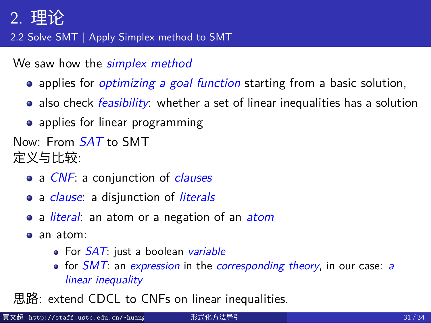#### 2.2 Solve SMT | Apply Simplex method to SMT

We saw how the *simplex method*

- applies for *optimizing a goal function* starting from a basic solution,
- also check *feasibility*: whether a set of linear inequalities has a solution
- applies for linear programming

Now: From *SAT* to SMT

定义与比较:

- a *CNF*: a conjunction of *clauses*
- a *clause*: a disjunction of *literals*
- a *literal*: an atom or a negation of an *atom*
- an atom:
	- For *SAT*: just a boolean *variable*
	- for *SMT*: an *expression* in the *corresponding theory*, in our case: *a linear inequality*

思路: extend CDCL to CNFs on linear inequalities.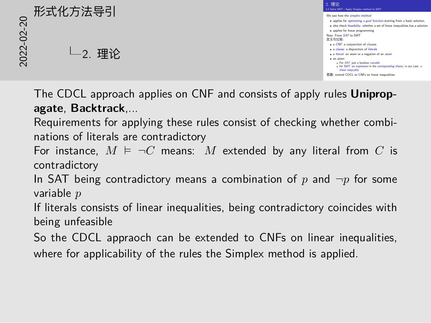# 2<br>2022<br>2022<br>2022<br>2022<br>2022<br>2022<br>2022 2. 理论



The CDCL approach applies on CNF and consists of apply rules **Unipropagate**, **Backtrack**,...

Requirements for applying these rules consist of checking whether combinations of literals are contradictory

For instance,  $M \models \neg C$  means: M extended by any literal from  $C$  is contradictory

In SAT being contradictory means a combination of *p* and *¬p* for some variable *p*

If literals consists of linear inequalities, being contradictory coincides with being unfeasible

So the CDCL appraoch can be extended to CNFs on linear inequalities, where for applicability of the rules the Simplex method is applied.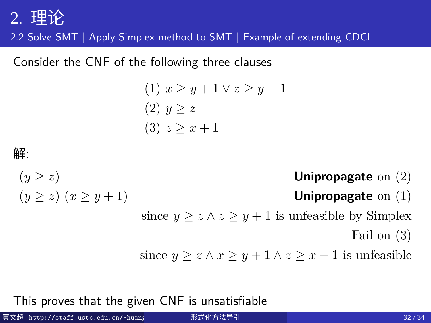2.2 Solve SMT | Apply Simplex method to SMT | Example of extending CDCL

Consider the CNF of the following three clauses

(1) 
$$
x \ge y + 1 \lor z \ge y + 1
$$
  
(2)  $y \ge z$   
(3)  $z \ge x + 1$ 

## 解:

 $(y \ge z)$  **Unipropagate** on (2)  $(y \ge z)$   $(x \ge y + 1)$  **Unipropagate** on (1) since  $y \ge z \land z \ge y + 1$  is unfeasible by Simplex Fail on (3) since  $y \geq z \land x \geq y + 1 \land z \geq x + 1$  is unfeasible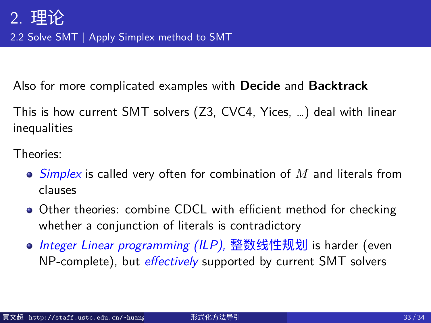2.2 Solve SMT | Apply Simplex method to SMT

Also for more complicated examples with **Decide** and **Backtrack**

This is how current SMT solvers (Z3, CVC4, Yices, …) deal with linear inequalities

Theories:

- *Simplex* is called very often for combination of *M* and literals from clauses
- Other theories: combine CDCL with efficient method for checking whether a conjunction of literals is contradictory
- *Integer Linear programming (ILP),* 整数线性规划 is harder (even NP-complete), but *effectively* supported by current SMT solvers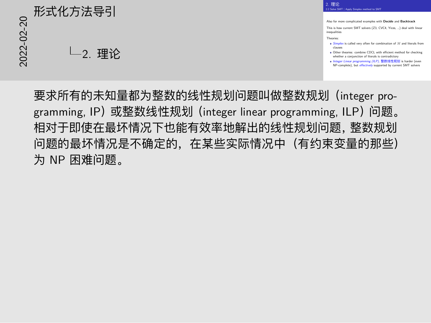# 2022-02-20 形式化方法导引 2. 理论

Also for more complicated examples with **Decide** and **Backtrack** This is how current SMT solvers (Z3, CVC4, Yices, …) deal with linear inequalities Theories: *Simplex* is called very often for combination of *<sup>M</sup>* and literals from Sumplex is called very often for combination of *M* and interals from<br>Clauses<br>Other theories: combine CDCL with efficient method for checking<br>whether a conjunction of literals is contradictory Uther methods: comment CDCL with emisions method for checking<br>*Integer Linear programming (ILP)*, 整数线性规划 is harder (even winkiner a conjunction or interais is contradictory<br>Integer Linear programming (ILP), <u>整数线性规划</u> is harder (even<br>NP-complete), but *effectively* supported by current SMT solvers

2. 理论 2. 理论<br>2.2 Solve SMT | Apply Simplex method to SMT

要求所有的未知量都为整数的线性规划问题叫做整数规划(integer programming, IP)或整数线性规划 (integer linear programming, ILP) 问题。 相对于即使在最坏情况下也能有效率地解出的线性规划问题,整数规划 问题的最坏情况是不确定的,在某些实际情况中(有约束变量的那些) 为 NP 困难问题。